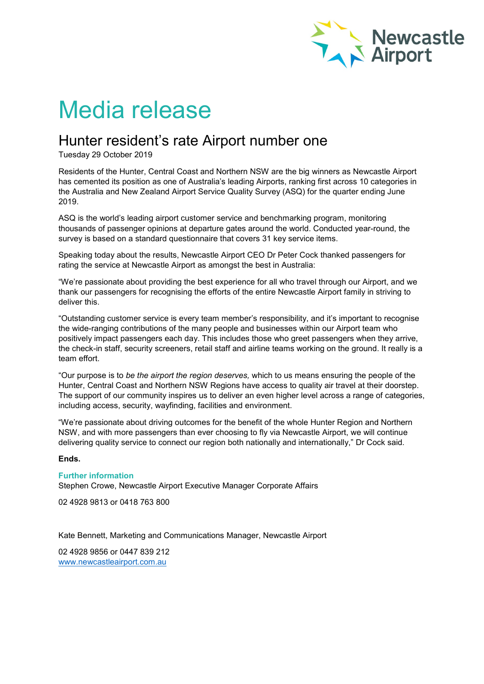

# Media release

## Hunter resident's rate Airport number one

Tuesday 29 October 2019

Residents of the Hunter, Central Coast and Northern NSW are the big winners as Newcastle Airport has cemented its position as one of Australia's leading Airports, ranking first across 10 categories in the Australia and New Zealand Airport Service Quality Survey (ASQ) for the quarter ending June 2019.

ASQ is the world's leading airport customer service and benchmarking program, monitoring thousands of passenger opinions at departure gates around the world. Conducted year-round, the survey is based on a standard questionnaire that covers 31 key service items.

Speaking today about the results, Newcastle Airport CEO Dr Peter Cock thanked passengers for rating the service at Newcastle Airport as amongst the best in Australia:

"We're passionate about providing the best experience for all who travel through our Airport, and we thank our passengers for recognising the efforts of the entire Newcastle Airport family in striving to deliver this.

"Outstanding customer service is every team member's responsibility, and it's important to recognise the wide-ranging contributions of the many people and businesses within our Airport team who positively impact passengers each day. This includes those who greet passengers when they arrive, the check-in staff, security screeners, retail staff and airline teams working on the ground. It really is a team effort.

"Our purpose is to *be the airport the region deserves,* which to us means ensuring the people of the Hunter, Central Coast and Northern NSW Regions have access to quality air travel at their doorstep. The support of our community inspires us to deliver an even higher level across a range of categories, including access, security, wayfinding, facilities and environment.

"We're passionate about driving outcomes for the benefit of the whole Hunter Region and Northern NSW, and with more passengers than ever choosing to fly via Newcastle Airport, we will continue delivering quality service to connect our region both nationally and internationally," Dr Cock said.

### **Ends.**

### **Further information**

Stephen Crowe, Newcastle Airport Executive Manager Corporate Affairs

02 4928 9813 or 0418 763 800

Kate Bennett, Marketing and Communications Manager, Newcastle Airport

02 4928 9856 or 0447 839 212 [www.newcastleairport.com.au](http://www.newcastleairport.com.au/)